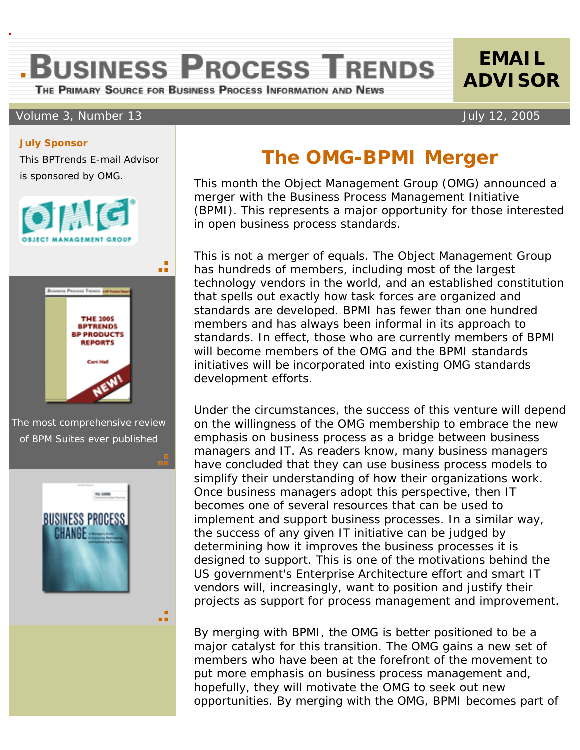**BUSINESS PROCESS TRENDS** 

THE PRIMARY SOURCE FOR BUSINESS PROCESS INFORMATION AND NEWS

## Volume 3, Number 13 July 12, 2005

## **The OMG-BPMI Merger**

 This month the Object Management Group (OMG) announced a merger with the Business Process Management Initiative (BPMI). This represents a major opportunity for those interested in open business process standards.

This is not a merger of equals. The Object Management Group has hundreds of members, including most of the largest technology vendors in the world, and an established constitution that spells out exactly how task forces are organized and standards are developed. BPMI has fewer than one hundred members and has always been informal in its approach to standards. In effect, those who are currently members of BPMI will become members of the OMG and the BPMI standards initiatives will be incorporated into existing OMG standards development efforts.

Under the circumstances, the success of this venture will depend on the willingness of the OMG membership to embrace the new emphasis on business process as a bridge between business managers and IT. As readers know, many business managers have concluded that they can use business process models to simplify their understanding of how their organizations work. Once business managers adopt this perspective, then IT becomes one of several resources that can be used to implement and support business processes. In a similar way, the success of any given IT initiative can be judged by determining how it improves the business processes it is designed to support. This is one of the motivations behind the US government's Enterprise Architecture effort and smart IT vendors will, increasingly, want to position and justify their projects as support for process management and improvement.

By merging with BPMI, the OMG is better positioned to be a major catalyst for this transition. The OMG gains a new set of members who have been at the forefront of the movement to put more emphasis on business process management and, hopefully, they will motivate the OMG to seek out new opportunities. By merging with the OMG, BPMI becomes part of

## **July Sponsor**

This BPTrends E-mail Advisor is sponsored by OMG.





The most comprehensive review of BPM Suites ever published



a E

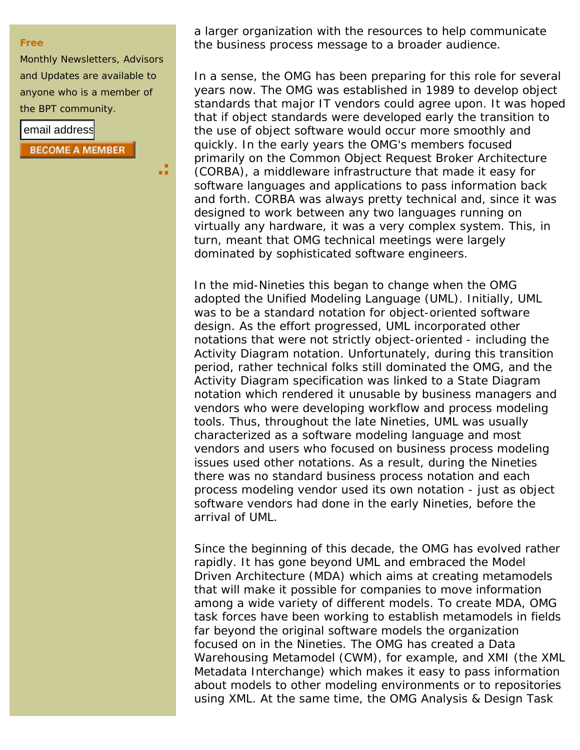## **Free**

Monthly Newsletters, Advisors and Updates are available to anyone who is a member of the BPT community.

ä.

email address **BECOME A MEMBER**  a larger organization with the resources to help communicate the business process message to a broader audience.

In a sense, the OMG has been preparing for this role for several years now. The OMG was established in 1989 to develop object standards that major IT vendors could agree upon. It was hoped that if object standards were developed early the transition to the use of object software would occur more smoothly and quickly. In the early years the OMG's members focused primarily on the Common Object Request Broker Architecture (CORBA), a middleware infrastructure that made it easy for software languages and applications to pass information back and forth. CORBA was always pretty technical and, since it was designed to work between any two languages running on virtually any hardware, it was a very complex system. This, in turn, meant that OMG technical meetings were largely dominated by sophisticated software engineers.

In the mid-Nineties this began to change when the OMG adopted the Unified Modeling Language (UML). Initially, UML was to be a standard notation for object-oriented software design. As the effort progressed, UML incorporated other notations that were not strictly object-oriented - including the Activity Diagram notation. Unfortunately, during this transition period, rather technical folks still dominated the OMG, and the Activity Diagram specification was linked to a State Diagram notation which rendered it unusable by business managers and vendors who were developing workflow and process modeling tools. Thus, throughout the late Nineties, UML was usually characterized as a software modeling language and most vendors and users who focused on business process modeling issues used other notations. As a result, during the Nineties there was no standard business process notation and each process modeling vendor used its own notation - just as object software vendors had done in the early Nineties, before the arrival of UML.

Since the beginning of this decade, the OMG has evolved rather rapidly. It has gone beyond UML and embraced the Model Driven Architecture (MDA) which aims at creating metamodels that will make it possible for companies to move information among a wide variety of different models. To create MDA, OMG task forces have been working to establish metamodels in fields far beyond the original software models the organization focused on in the Nineties. The OMG has created a Data Warehousing Metamodel (CWM), for example, and XMI (the XML Metadata Interchange) which makes it easy to pass information about models to other modeling environments or to repositories using XML. At the same time, the OMG Analysis & Design Task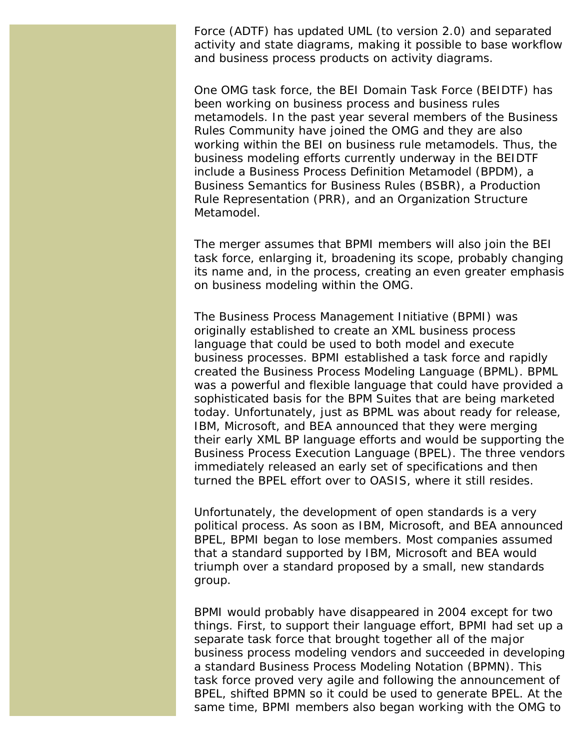Force (ADTF) has updated UML (to version 2.0) and separated activity and state diagrams, making it possible to base workflow and business process products on activity diagrams.

One OMG task force, the BEI Domain Task Force (BEIDTF) has been working on business process and business rules metamodels. In the past year several members of the Business Rules Community have joined the OMG and they are also working within the BEI on business rule metamodels. Thus, the business modeling efforts currently underway in the BEIDTF include a Business Process Definition Metamodel (BPDM), a Business Semantics for Business Rules (BSBR), a Production Rule Representation (PRR), and an Organization Structure Metamodel.

The merger assumes that BPMI members will also join the BEI task force, enlarging it, broadening its scope, probably changing its name and, in the process, creating an even greater emphasis on business modeling within the OMG.

The Business Process Management Initiative (BPMI) was originally established to create an XML business process language that could be used to both model and execute business processes. BPMI established a task force and rapidly created the Business Process Modeling Language (BPML). BPML was a powerful and flexible language that could have provided a sophisticated basis for the BPM Suites that are being marketed today. Unfortunately, just as BPML was about ready for release, IBM, Microsoft, and BEA announced that they were merging their early XML BP language efforts and would be supporting the Business Process Execution Language (BPEL). The three vendors immediately released an early set of specifications and then turned the BPEL effort over to OASIS, where it still resides.

Unfortunately, the development of open standards is a very political process. As soon as IBM, Microsoft, and BEA announced BPEL, BPMI began to lose members. Most companies assumed that a standard supported by IBM, Microsoft and BEA would triumph over a standard proposed by a small, new standards group.

BPMI would probably have disappeared in 2004 except for two things. First, to support their language effort, BPMI had set up a separate task force that brought together all of the major business process modeling vendors and succeeded in developing a standard Business Process Modeling Notation (BPMN). This task force proved very agile and following the announcement of BPEL, shifted BPMN so it could be used to generate BPEL. At the same time, BPMI members also began working with the OMG to